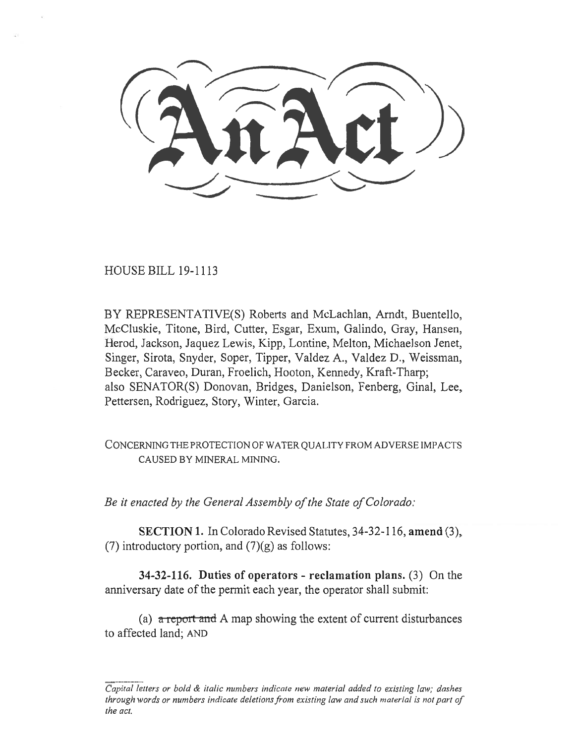HOUSE BILL 19-1113

BY REPRESENTATIVE(S) Roberts and McLachlan, Arndt, Buentello, McCluskie, Titone, Bird, Cutter, Esgar, Exum, Galindo, Gray, Hansen, Herod, Jackson, Jaquez Lewis, Kipp, Lontine, Melton, Michaelson Jenet, Singer, Sirota, Snyder, Soper, Tipper, Valdez A., Valdez D., Weissman, Becker, Caraveo, Duran, Froelich, Hooton, Kennedy, Kraft-Tharp; also SENATOR(S) Donovan, Bridges, Danielson, Fenberg, Ginal, Lee, Pettersen, Rodriguez, Story, Winter, Garcia.

CONCERNING THE PROTECTION OF WATER QUALITY FROM ADVERSE IMPACTS CAUSED BY MINERAL MINING.

*Be it enacted by the General Assembly of the State of Colorado:* 

**SECTION 1.** In Colorado Revised Statutes, 34-32-116, **amend** (3), (7) introductory portion, and  $(7)(g)$  as follows:

**34-32-116. Duties of operators - reclamation plans.** (3) On the anniversary date of the permit each year, the operator shall submit:

(a) a re*port ainl* A map showing the extent of current disturbances to affected land; AND

*Capital letters or bold & italic numbers indicate new material added to existing law; dashes through words or numbers indicate deletions from existing law and such material is not part of the act.*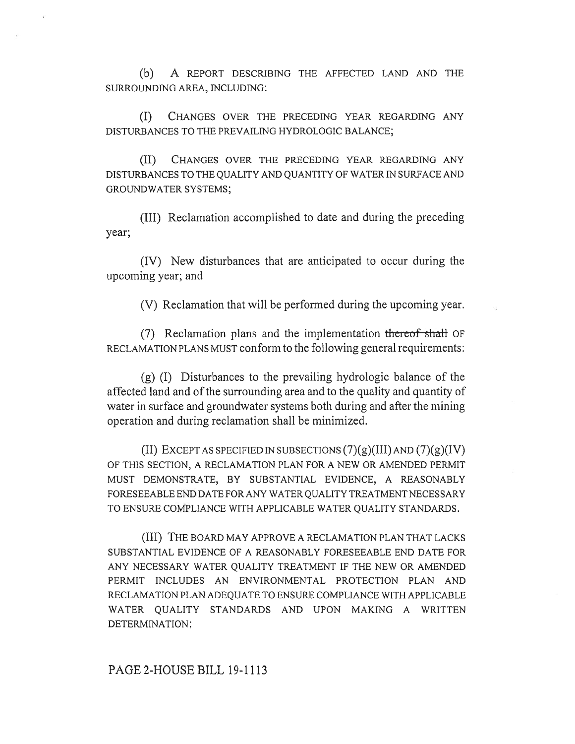(b) A REPORT DESCRIBING THE AFFECTED LAND AND THE SURROUNDING AREA, INCLUDING:

(I) CHANGES OVER THE PRECEDING YEAR REGARDING ANY DISTURBANCES TO THE PREVAILING HYDROLOGIC BALANCE;

(II) CHANGES OVER THE PRECEDING YEAR REGARDING ANY DISTURBANCES TO THE QUALITY AND QUANTITY OF WATER IN SURFACE AND GROUNDWATER SYSTEMS;

(III) Reclamation accomplished to date and during the preceding year;

(IV) New disturbances that are anticipated to occur during the upcoming year; and

(V) Reclamation that will be performed during the upcoming year.

 $(7)$  Reclamation plans and the implementation thereof shall OF RECLAMATION PLANS MUST conform to the following general requirements:

(g) (I) Disturbances to the prevailing hydrologic balance of the affected land and of the surrounding area and to the quality and quantity of water in surface and groundwater systems both during and after the mining operation and during reclamation shall be minimized.

(II) EXCEPT AS SPECIFIED IN SUBSECTIONS  $(7)(g)(III)$  AND  $(7)(g)(IV)$ OF THIS SECTION, A RECLAMATION PLAN FOR A NEW OR AMENDED PERMIT MUST DEMONSTRATE, BY SUBSTANTIAL EVIDENCE, A REASONABLY FORESEEABLE END DATE FOR ANY WATER QUALITY TREATMENT NECESSARY TO ENSURE COMPLIANCE WITH APPLICABLE WATER QUALITY STANDARDS.

(III) THE BOARD MAY APPROVE A RECLAMATION PLAN THAT LACKS SUBSTANTIAL EVIDENCE OF A REASONABLY FORESEEABLE END DATE FOR ANY NECESSARY WATER QUALITY TREATMENT IF THE NEW OR AMENDED PERMIT INCLUDES AN ENVIRONMENTAL PROTECTION PLAN AND RECLAMATION PLAN ADEQUATE TO ENSURE COMPLIANCE WITH APPLICABLE WATER QUALITY STANDARDS AND UPON MAKING A WRITTEN DETERMINATION: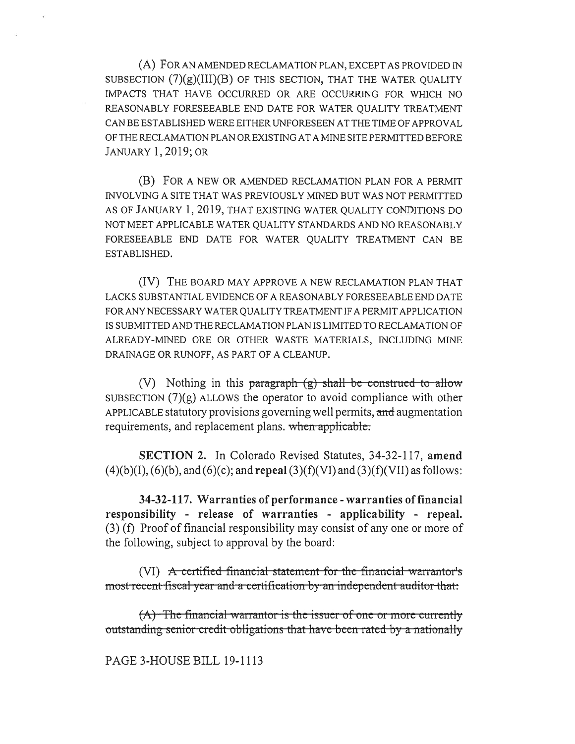(A) FOR AN AMENDED RECLAMATION PLAN, EXCEPT AS PROVIDED IN SUBSECTION  $(7)(g)(III)(B)$  OF THIS SECTION, THAT THE WATER QUALITY IMPACTS THAT HAVE OCCURRED OR ARE OCCURRING FOR WHICH NO REASONABLY FORESEEABLE END DATE FOR WATER QUALITY TREATMENT CAN BE ESTABLISHED WERE EITHER UNFORESEEN AT THE TIME OF APPROVAL OF THE RECLAMATION PLAN OR EXISTING AT A MINE SITE PERMITTED BEFORE JANUARY 1, 2019; OR

(B) FOR A NEW OR AMENDED RECLAMATION PLAN FOR A PERMIT INVOLVING A SITE THAT WAS PREVIOUSLY MINED BUT WAS NOT PERMITTED AS OF JANUARY 1, 2019, THAT EXISTING WATER QUALITY CONDITIONS DO NOT MEET APPLICABLE WATER QUALITY STANDARDS AND NO REASONABLY FORESEEABLE END DATE FOR WATER QUALITY TREATMENT CAN BE ESTABLISHED.

(IV) THE BOARD MAY APPROVE A NEW RECLAMATION PLAN THAT LACKS SUBSTANTIAL EVIDENCE OF A REASONABLY FORESEEABLE END DATE FOR ANY NECESSARY WATER QUALITY TREATMENT IF A PERMIT APPLICATION IS SUBMITTED AND THE RECLAMATION PLAN IS LIMITED TO RECLAMATION OF ALREADY-MINED ORE OR OTHER WASTE MATERIALS, INCLUDING MINE DRAINAGE OR RUNOFF, AS PART OF A CLEANUP.

(V) Nothing in this paragraph  $(g)$  shall be construed to allow SUBSECTION  $(7)(g)$  ALLOWS the operator to avoid compliance with other APPLICABLE statutory provisions governing well permits, and augmentation requirements, and replacement plans. when applicable.

**SECTION 2.** In Colorado Revised Statutes, 34-32-117, **amend**  (4)(b)(I), (6)(b), and (6)(c); and **repeal** (3)(f)(VI) and (3)(f)(VII) as follows:

**34-32-117. Warranties of performance - warranties of financial responsibility - release of warranties - applicability - repeal.**  (3) (f) Proof of financial responsibility may consist of any one or more of the following, subject to approval by the board:

(VI)  $\overline{A}$  certified financial statement for the financial warrantor's most-recent-fiscal-year and-a-certification-by-an-independent-auditor-that:

 $(A)$ -The financial warrantor is the issuer of one or more currently outstanding senior credit obligations that have been rated by a nationally

## PAGE 3-HOUSE BILL 19-1113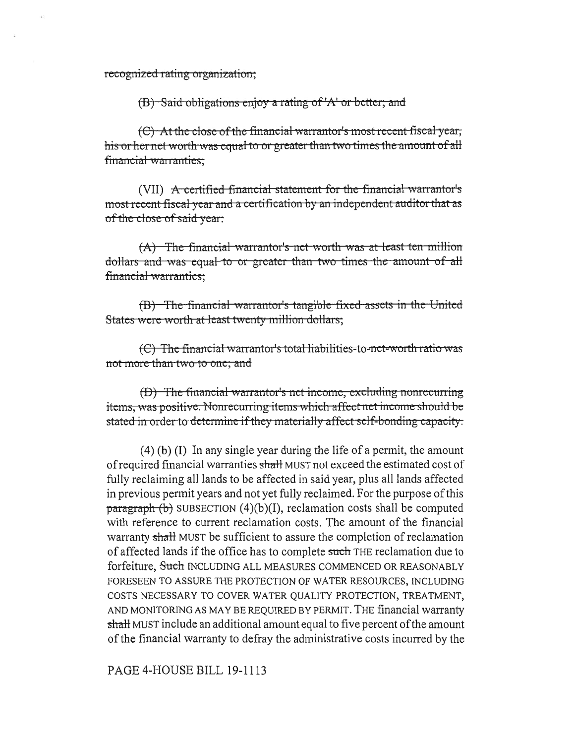recognized rating organization;

 $(B)$  Said-obligations enjoy a rating of 'A' or better; and

 $(C)$  At the close of the financial warrantor's most recent fiscal year, his or her net worth was equal to or greater than two times the amount of all financial warranties;

(VII) A certified financial statement for the financial warrantor's most recent fiscal year and a certification by an independent auditor that as of the close of said year:

 $(A)$  -The financial warrantor's net-worth-was at least-ten-million qual to or greater than two times the amount of all financial warranties;

 $(B)$  The financial warrantor's tangible fixed assets in the United ere worth at least twenty million dollars;

(C) The financial warrantor's total liabilities-to-net-worth ratio was not more than two to one; and

(D) The financial warrantor's net income, excluding nonrecurring items, was positive. Nonrecurring items which affect net income should be stated in order to determine if they materially affect self-bonding capacity.

(4) (b) (I) In any single year during the life of a permit, the amount of required financial warranties shall MUST not exceed the estimated cost of fully reclaiming all lands to be affected in said year, plus all lands affected in previous permit years and not yet fully reclaimed. For the purpose of this  $\frac{\text{parameter}}{\text{log}(\text{b})}$  SUBSECTION (4)(b)(I), reclamation costs shall be computed with reference to current reclamation costs. The amount of the financial warranty shall MUST be sufficient to assure the completion of reclamation of affected lands if the office has to complete such THE reclamation due to forfeiture, <del>Such</del> INCLUDING ALL MEASURES COMMENCED OR REASONABLY FORESEEN TO ASSURE THE PROTECTION OF WATER RESOURCES, INCLUDING COSTS NECESSARY TO COVER WATER QUALITY PROTECTION, TREATMENT, AND MONITORING AS MAY BE REQUIRED BY PERMIT. THE financial warranty shall MUST include an additional amount equal to five percent of the amount of the financial warranty to defray the administrative costs incurred by the

PAGE 4-HOUSE BILL 19-1113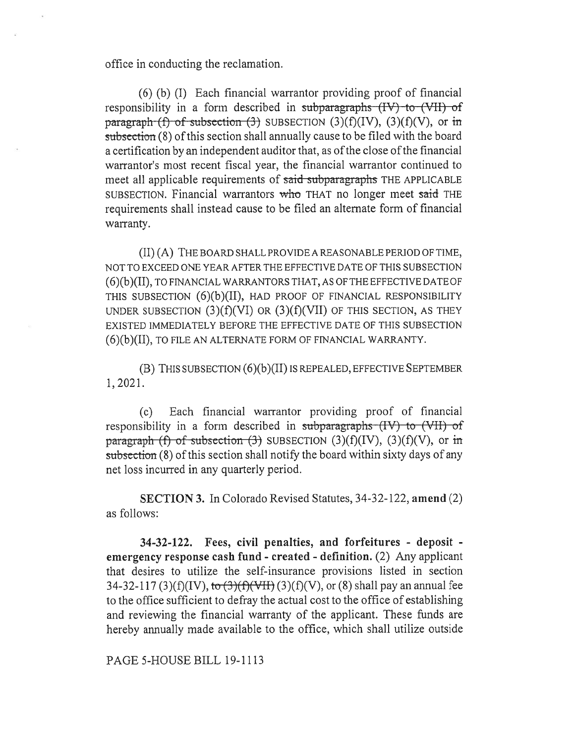office in conducting the reclamation.

(6) (b) (I) Each financial warrantor providing proof of financial responsibility in a form described in subparagraphs  $H_V$  to  $W_H$  of paragraph (f) of subsection (3) SUBSECTION  $(3)(f)(IV)$ ,  $(3)(f)(V)$ , or in subsection (8) of this section shall annually cause to be filed with the board a certification by an independent auditor that, as of the close of the financial warrantor's most recent fiscal year, the financial warrantor continued to meet all applicable requirements of said subparagraphs THE APPLICABLE SUBSECTION. Financial warrantors who THAT no longer meet said THE requirements shall instead cause to be filed an alternate form of financial warranty.

(II) (A) THE BOARD SHALL PROVIDE A REASONABLE PERIOD OF TIME, NOT TO EXCEED ONE YEAR AFTER THE EFFECTIVE DATE OF THIS SUBSECTION (6)(b)(II), TO FINANCIAL WARRANTORS THAT, AS OF THE EFFECTIVE DATE OF THIS SUBSECTION (6)(b)(II), HAD PROOF OF FINANCIAL RESPONSIBILITY UNDER SUBSECTION  $(3)(f)(V)$  OR  $(3)(f)(V)$  OF THIS SECTION, AS THEY EXISTED IMMEDIATELY BEFORE THE EFFECTIVE DATE OF THIS SUBSECTION (6)(b)(II), TO FILE AN ALTERNATE FORM OF FINANCIAL WARRANTY.

(B) THIS SUBSECTION (6)(b)(II) IS REPEALED, EFFECTIVE SEPTEMBER 1, 2021.

(c) Each financial warrantor providing proof of financial responsibility in a form described in subparagraphs (IV) to (VII) of paragraph (f) of subsection (3) SUBSECTION  $(3)(f)(IV)$ ,  $(3)(f)(V)$ , or in subsection (8) of this section shall notify the board within sixty days of any net loss incurred in any quarterly period.

**SECTION 3.** In Colorado Revised Statutes, 34-32-122, **amend** (2) as follows:

**34-32-122. Fees, civil penalties, and forfeitures - deposit emergency response cash fund - created - definition.** (2) Any applicant that desires to utilize the self-insurance provisions listed in section 34-32-117 (3)(f)(IV),  $\frac{1}{6}$  (3)(f)(VII) (3)(f)(V), or (8) shall pay an annual fee to the office sufficient to defray the actual cost to the office of establishing and reviewing the financial warranty of the applicant. These funds are hereby annually made available to the office, which shall utilize outside

PAGE 5-HOUSE BILL 19-1113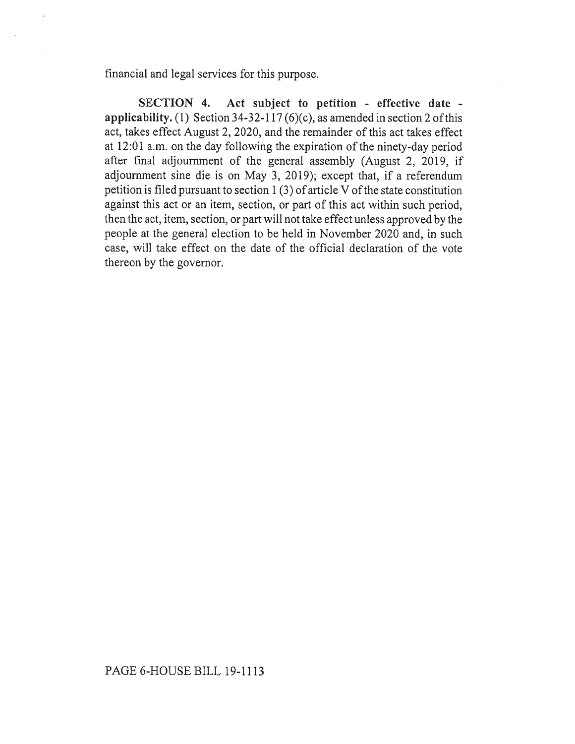financial and legal services for this purpose.

**SECTION 4. Act subject to petition - effective date applicability.** (1) Section 34-32-117 (6)(c), as amended in section 2 of this act, takes effect August 2, 2020, and the remainder of this act takes effect at 12:01 a.m. on the day following the expiration of the ninety-day period after final adjournment of the general assembly (August 2, 2019, if adjournment sine die is on May 3, 2019); except that, if a referendum petition is filed pursuant to section 1 (3) of article V of the state constitution against this act or an item, section, or part of this act within such period, then the act, item, section, or part will not take effect unless approved by the people at the general election to be held in November 2020 and, in such case, will take effect on the date of the official declaration of the vote thereon by the governor.